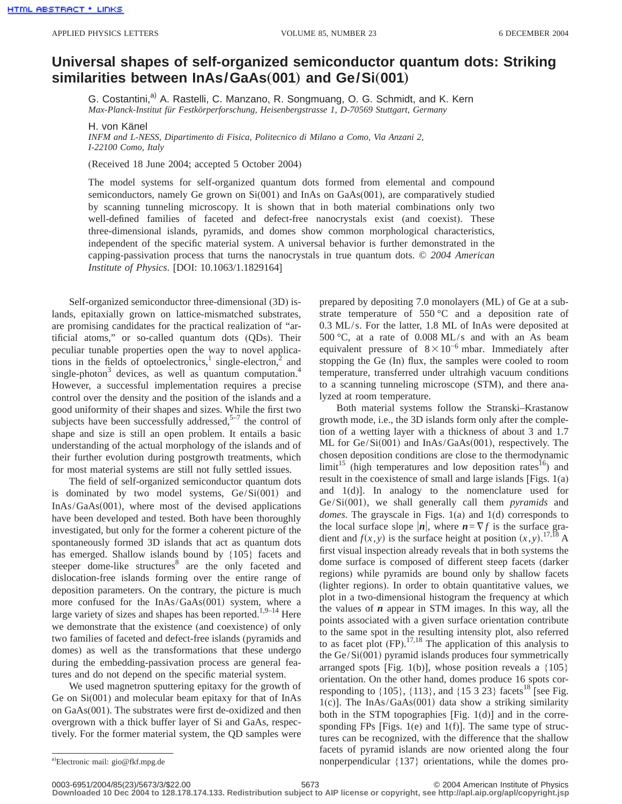## **Universal shapes of self-organized semiconductor quantum dots: Striking** similarities between InAs/GaAs(001) and Ge/Si(001)

G. Costantini,<sup>a)</sup> A. Rastelli, C. Manzano, R. Songmuang, O. G. Schmidt, and K. Kern *Max-Planck-Institut für Festkörperforschung, Heisenbergstrasse 1, D-70569 Stuttgart, Germany*

H. von Känel

*INFM and L-NESS, Dipartimento di Fisica, Politecnico di Milano a Como, Via Anzani 2, I-22100 Como, Italy*

(Received 18 June 2004; accepted 5 October 2004)

The model systems for self-organized quantum dots formed from elemental and compound semiconductors, namely Ge grown on Si(001) and InAs on GaAs(001), are comparatively studied by scanning tunneling microscopy. It is shown that in both material combinations only two well-defined families of faceted and defect-free nanocrystals exist (and coexist). These three-dimensional islands, pyramids, and domes show common morphological characteristics, independent of the specific material system. A universal behavior is further demonstrated in the capping-passivation process that turns the nanocrystals in true quantum dots. © *2004 American Institute of Physics*. [DOI: 10.1063/1.1829164]

Self-organized semiconductor three-dimensional (3D) islands, epitaxially grown on lattice-mismatched substrates, are promising candidates for the practical realization of "artificial atoms," or so-called quantum dots (QDs). Their peculiar tunable properties open the way to novel applications in the fields of optoelectronics, $\frac{1}{2}$  single-electron, $\frac{2}{3}$  and single-photon $3$  devices, as well as quantum computation.<sup>4</sup> However, a successful implementation requires a precise control over the density and the position of the islands and a good uniformity of their shapes and sizes. While the first two subjects have been successfully addressed, $5-7$  the control of shape and size is still an open problem. It entails a basic understanding of the actual morphology of the islands and of their further evolution during postgrowth treatments, which for most material systems are still not fully settled issues.

The field of self-organized semiconductor quantum dots is dominated by two model systems,  $Ge/Si(001)$  and  $InAs/GaAs(001)$ , where most of the devised applications have been developed and tested. Both have been thoroughly investigated, but only for the former a coherent picture of the spontaneously formed 3D islands that act as quantum dots has emerged. Shallow islands bound by {105} facets and steeper dome-like structures<sup>8</sup> are the only faceted and dislocation-free islands forming over the entire range of deposition parameters. On the contrary, the picture is much more confused for the  $InAs/GaAs(001)$  system, where a large variety of sizes and shapes has been reported.<sup>1,9–14</sup> Here we demonstrate that the existence (and coexistence) of only two families of faceted and defect-free islands (pyramids and domes) as well as the transformations that these undergo during the embedding-passivation process are general features and do not depend on the specific material system.

We used magnetron sputtering epitaxy for the growth of Ge on Si(001) and molecular beam epitaxy for that of InAs on GaAs(001). The substrates were first de-oxidized and then overgrown with a thick buffer layer of Si and GaAs, respectively. For the former material system, the QD samples were prepared by depositing 7.0 monolayers (ML) of Ge at a substrate temperature of  $550 \degree C$  and a deposition rate of 0.3 ML/s. For the latter, 1.8 ML of InAs were deposited at 500 °C, at a rate of 0.008 ML/s and with an As beam equivalent pressure of  $8 \times 10^{-6}$  mbar. Immediately after stopping the Ge (In) flux, the samples were cooled to room temperature, transferred under ultrahigh vacuum conditions to a scanning tunneling microscope (STM), and there analyzed at room temperature.

Both material systems follow the Stranski–Krastanow growth mode, i.e., the 3D islands form only after the completion of a wetting layer with a thickness of about 3 and 1.7 ML for  $Ge/Si(001)$  and InAs/GaAs $(001)$ , respectively. The chosen deposition conditions are close to the thermodynamic  $\text{limit}^{15}$  (high temperatures and low deposition rates<sup>16</sup>) and result in the coexistence of small and large islands [Figs. 1(a) and 1(d)]. In analogy to the nomenclature used for Ge/Si(001), we shall generally call them *pyramids* and *domes*. The grayscale in Figs. 1(a) and 1(d) corresponds to the local surface slope  $|n|$ , where  $n = \nabla f$  is the surface gradient and  $f(x, y)$  is the surface height at position  $(x, y)$ .<sup>17,18</sup> A first visual inspection already reveals that in both systems the dome surface is composed of different steep facets (darker regions) while pyramids are bound only by shallow facets (lighter regions). In order to obtain quantitative values, we plot in a two-dimensional histogram the frequency at which the values of *n* appear in STM images. In this way, all the points associated with a given surface orientation contribute to the same spot in the resulting intensity plot, also referred to as facet plot  $(FP)$ .<sup>17,18</sup> The application of this analysis to the  $Ge/Si(001)$  pyramid islands produces four symmetrically arranged spots [Fig. 1(b)], whose position reveals a  $\{105\}$ orientation. On the other hand, domes produce 16 spots corresponding to  $\{105\}$ ,  $\{113\}$ , and  $\{15\,3\,23\}$  facets<sup>18</sup> [see Fig. 1(c)]. The InAs/GaAs $(001)$  data show a striking similarity both in the STM topographies [Fig. 1(d)] and in the corresponding FPs [Figs. 1(e) and 1(f)]. The same type of structures can be recognized, with the difference that the shallow facets of pyramid islands are now oriented along the four nonperpendicular  $\{137\}$  orientations, while the domes pro-

0003-6951/2004/85(23)/5673/3/\$22.00 © 2004 American Institute of Physics 5673 **Downloaded 10 Dec 2004 to 128.178.174.133. Redistribution subject to AIP license or copyright, see http://apl.aip.org/apl/copyright.jsp**

<sup>&</sup>lt;sup>a)</sup>Electronic mail: gio@fkf.mpg.de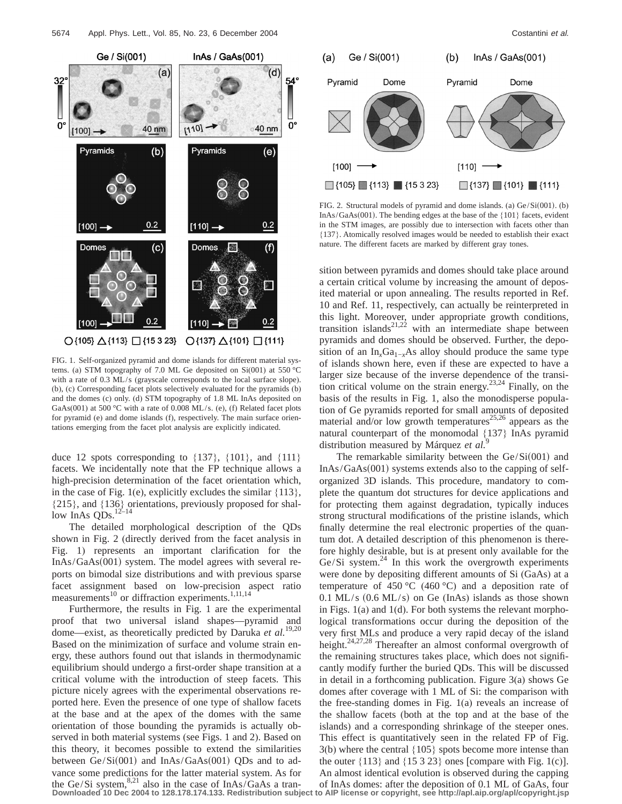

FIG. 1. Self-organized pyramid and dome islands for different material systems. (a) STM topography of 7.0 ML Ge deposited on Si(001) at 550 °C with a rate of 0.3 ML/s (grayscale corresponds to the local surface slope). (b), (c) Corresponding facet plots selectively evaluated for the pyramids (b) and the domes (c) only. (d) STM topography of 1.8 ML InAs deposited on GaAs(001) at 500 °C with a rate of 0.008 ML/s. (e), (f) Related facet plots for pyramid (e) and dome islands (f), respectively. The main surface orientations emerging from the facet plot analysis are explicitly indicated.

duce 12 spots corresponding to  $\{137\}$ ,  $\{101\}$ , and  $\{111\}$ facets. We incidentally note that the FP technique allows a high-precision determination of the facet orientation which, in the case of Fig. 1(e), explicitly excludes the similar  $\{113\}$ , {215}, and {136} orientations, previously proposed for shallow InAs  $QDs$ .<sup>12–14</sup>

The detailed morphological description of the QDs shown in Fig. 2 (directly derived from the facet analysis in Fig. 1) represents an important clarification for the  $InAs/GaAs(001)$  system. The model agrees with several reports on bimodal size distributions and with previous sparse facet assignment based on low-precision aspect ratio measurements<sup>10</sup> or diffraction experiments.<sup>1,11,14</sup>

Furthermore, the results in Fig. 1 are the experimental proof that two universal island shapes—pyramid and dome—exist, as theoretically predicted by Daruka *et al.*19,20 Based on the minimization of surface and volume strain energy, these authors found out that islands in thermodynamic equilibrium should undergo a first-order shape transition at a critical volume with the introduction of steep facets. This picture nicely agrees with the experimental observations reported here. Even the presence of one type of shallow facets at the base and at the apex of the domes with the same orientation of those bounding the pyramids is actually observed in both material systems (see Figs. 1 and 2). Based on this theory, it becomes possible to extend the similarities between  $Ge/Si(001)$  and  $InAs/GaAs(001)$  ODs and to advance some predictions for the latter material system. As for the Ge/Si system,  $8,21$  also in the case of InAs/GaAs a tran-



FIG. 2. Structural models of pyramid and dome islands. (a)  $Ge/Si(001)$ . (b) InAs/GaAs(001). The bending edges at the base of the  ${101}$  facets, evident in the STM images, are possibly due to intersection with facets other than {137}. Atomically resolved images would be needed to establish their exact nature. The different facets are marked by different gray tones.

sition between pyramids and domes should take place around a certain critical volume by increasing the amount of deposited material or upon annealing. The results reported in Ref. 10 and Ref. 11, respectively, can actually be reinterpreted in this light. Moreover, under appropriate growth conditions, transition islands<sup>21,22</sup> with an intermediate shape between pyramids and domes should be observed. Further, the deposition of an In<sub>*x*</sub>Ga<sub>1−*x*</sub>As alloy should produce the same type of islands shown here, even if these are expected to have a larger size because of the inverse dependence of the transition critical volume on the strain energy.<sup>23,24</sup> Finally, on the basis of the results in Fig. 1, also the monodisperse population of Ge pyramids reported for small amounts of deposited material and/or low growth temperatures<sup>25,26</sup> appears as the natural counterpart of the monomodal {137} InAs pyramid distribution measured by Márquez *et al.*<sup>9</sup>

The remarkable similarity between the  $Ge/Si(001)$  and  $InAs/GaAs(001)$  systems extends also to the capping of selforganized 3D islands. This procedure, mandatory to complete the quantum dot structures for device applications and for protecting them against degradation, typically induces strong structural modifications of the pristine islands, which finally determine the real electronic properties of the quantum dot. A detailed description of this phenomenon is therefore highly desirable, but is at present only available for the  $Ge/Si$  system.<sup>24</sup> In this work the overgrowth experiments were done by depositing different amounts of Si (GaAs) at a temperature of 450 °C (460 °C) and a deposition rate of  $0.1$  ML/s  $(0.6$  ML/s) on Ge (InAs) islands as those shown in Figs. 1(a) and 1(d). For both systems the relevant morphological transformations occur during the deposition of the very first MLs and produce a very rapid decay of the island height.<sup>24,27,28</sup> Thereafter an almost conformal overgrowth of the remaining structures takes place, which does not significantly modify further the buried QDs. This will be discussed in detail in a forthcoming publication. Figure 3(a) shows Ge domes after coverage with 1 ML of Si: the comparison with the free-standing domes in Fig. 1(a) reveals an increase of the shallow facets (both at the top and at the base of the islands) and a corresponding shrinkage of the steeper ones. This effect is quantitatively seen in the related FP of Fig. 3(b) where the central {105} spots become more intense than the outer  $\{113\}$  and  $\{15\ 3\ 23\}$  ones [compare with Fig. 1(c)]. An almost identical evolution is observed during the capping

of InAs domes: after the deposition of 0.1 ML of GaAs, four **Downloaded 10 Dec 2004 to 128.178.174.133. Redistribution subject to AIP license or copyright, see http://apl.aip.org/apl/copyright.jsp**